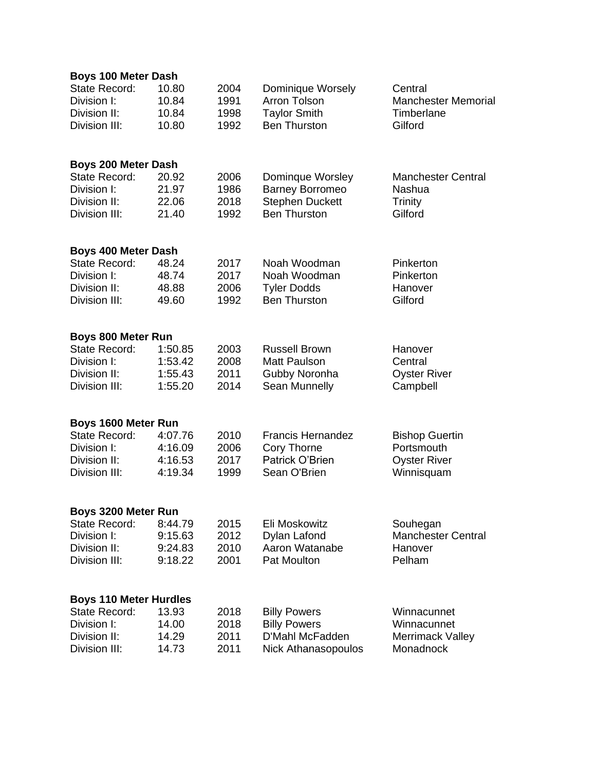| <b>Boys 100 Meter Dash</b>    |         |      |                            |                            |
|-------------------------------|---------|------|----------------------------|----------------------------|
| <b>State Record:</b>          | 10.80   | 2004 | Dominique Worsely          | Central                    |
| Division I:                   | 10.84   | 1991 | <b>Arron Tolson</b>        | <b>Manchester Memorial</b> |
| Division II:                  | 10.84   | 1998 | <b>Taylor Smith</b>        | Timberlane                 |
| Division III:                 | 10.80   | 1992 | <b>Ben Thurston</b>        | Gilford                    |
|                               |         |      |                            |                            |
| <b>Boys 200 Meter Dash</b>    |         |      |                            |                            |
| <b>State Record:</b>          | 20.92   | 2006 | Dominque Worsley           | <b>Manchester Central</b>  |
| Division I:                   | 21.97   | 1986 | <b>Barney Borromeo</b>     | Nashua                     |
| Division II:                  | 22.06   | 2018 | <b>Stephen Duckett</b>     | Trinity                    |
| Division III:                 | 21.40   | 1992 | <b>Ben Thurston</b>        | Gilford                    |
| <b>Boys 400 Meter Dash</b>    |         |      |                            |                            |
| State Record:                 | 48.24   | 2017 | Noah Woodman               | Pinkerton                  |
| Division I:                   | 48.74   | 2017 | Noah Woodman               | Pinkerton                  |
| Division II:                  | 48.88   | 2006 | <b>Tyler Dodds</b>         | Hanover                    |
| Division III:                 | 49.60   | 1992 | <b>Ben Thurston</b>        | Gilford                    |
|                               |         |      |                            |                            |
| <b>Boys 800 Meter Run</b>     |         |      |                            |                            |
| <b>State Record:</b>          | 1:50.85 | 2003 | <b>Russell Brown</b>       | Hanover                    |
| Division I:                   | 1:53.42 | 2008 | <b>Matt Paulson</b>        | Central                    |
| Division II:                  | 1:55.43 | 2011 | Gubby Noronha              | <b>Oyster River</b>        |
| Division III:                 | 1:55.20 | 2014 | Sean Munnelly              | Campbell                   |
| Boys 1600 Meter Run           |         |      |                            |                            |
| <b>State Record:</b>          | 4:07.76 | 2010 | <b>Francis Hernandez</b>   | <b>Bishop Guertin</b>      |
| Division I:                   | 4:16.09 | 2006 | Cory Thorne                | Portsmouth                 |
| Division II:                  | 4:16.53 | 2017 | Patrick O'Brien            | <b>Oyster River</b>        |
| Division III:                 | 4:19.34 | 1999 | Sean O'Brien               | Winnisquam                 |
|                               |         |      |                            |                            |
| Boys 3200 Meter Run           |         |      |                            |                            |
| <b>State Record:</b>          | 8:44.79 | 2015 | Eli Moskowitz              | Souhegan                   |
| Division I:                   | 9:15.63 | 2012 | Dylan Lafond               | <b>Manchester Central</b>  |
| Division II:                  | 9:24.83 | 2010 | Aaron Watanabe             | Hanover                    |
| Division III:                 | 9:18.22 | 2001 | Pat Moulton                | Pelham                     |
|                               |         |      |                            |                            |
| <b>Boys 110 Meter Hurdles</b> |         |      |                            |                            |
| <b>State Record:</b>          | 13.93   | 2018 | <b>Billy Powers</b>        | Winnacunnet                |
| Division I:                   | 14.00   | 2018 | <b>Billy Powers</b>        | Winnacunnet                |
| Division II:                  | 14.29   | 2011 | D'Mahl McFadden            | <b>Merrimack Valley</b>    |
| Division III:                 | 14.73   | 2011 | <b>Nick Athanasopoulos</b> | Monadnock                  |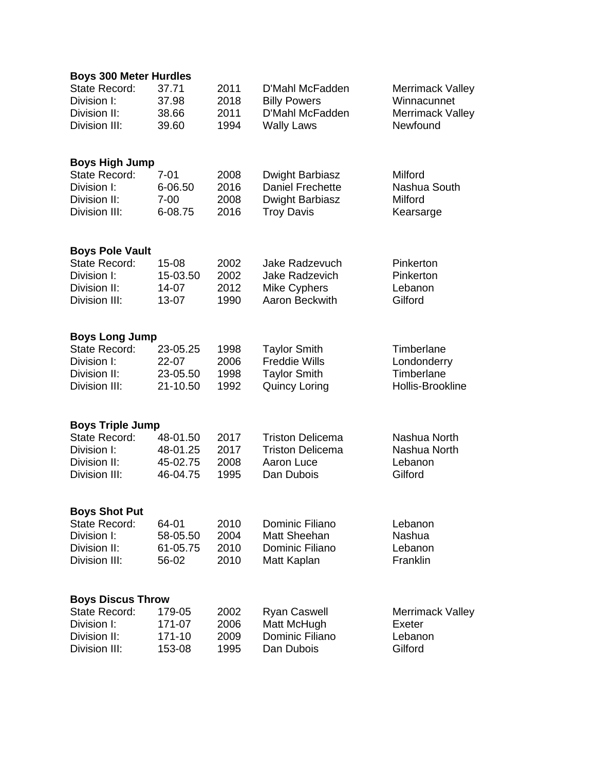| <b>State Record:</b><br>37.71<br>2011<br>D'Mahl McFadden            |                         |
|---------------------------------------------------------------------|-------------------------|
|                                                                     | <b>Merrimack Valley</b> |
| Division I:<br>37.98<br>2018<br><b>Billy Powers</b>                 | Winnacunnet             |
| D'Mahl McFadden<br>Division II:<br>38.66<br>2011                    | Merrimack Valley        |
| <b>Wally Laws</b><br>Division III:<br>39.60<br>1994                 | Newfound                |
| <b>Boys High Jump</b>                                               |                         |
| <b>State Record:</b><br>$7 - 01$<br>2008<br>Dwight Barbiasz         | Milford                 |
| <b>Daniel Frechette</b><br>Division I:<br>6-06.50<br>2016           | Nashua South            |
| Division II:<br>$7 - 00$<br>2008<br>Dwight Barbiasz                 | Milford                 |
| Division III:<br>6-08.75<br>2016<br><b>Troy Davis</b>               | Kearsarge               |
| <b>Boys Pole Vault</b>                                              |                         |
| <b>State Record:</b><br>15-08<br>2002<br>Jake Radzevuch             | Pinkerton               |
| Division I:<br>2002<br>15-03.50<br><b>Jake Radzevich</b>            | Pinkerton               |
| 2012<br>Division II:<br>14-07<br>Mike Cyphers                       | Lebanon                 |
| 1990<br>Aaron Beckwith<br>Division III:<br>13-07                    | Gilford                 |
| <b>Boys Long Jump</b>                                               |                         |
| <b>State Record:</b><br><b>Taylor Smith</b><br>23-05.25<br>1998     | Timberlane              |
| 2006<br><b>Freddie Wills</b><br>Division I:<br>22-07                | Londonderry             |
| <b>Taylor Smith</b><br>Division II:<br>23-05.50<br>1998             | Timberlane              |
| Division III:<br><b>Quincy Loring</b><br>21-10.50<br>1992           | Hollis-Brookline        |
| <b>Boys Triple Jump</b>                                             |                         |
| <b>State Record:</b><br>48-01.50<br>2017<br><b>Triston Delicema</b> | Nashua North            |
| Division I:<br>48-01.25<br>2017<br><b>Triston Delicema</b>          | Nashua North            |
| Division II:<br>45-02.75<br>2008<br>Aaron Luce                      | Lebanon                 |
| Division III:<br>46-04.75<br>1995<br>Dan Dubois                     | Gilford                 |
| <b>Boys Shot Put</b>                                                |                         |
| <b>State Record:</b><br>Dominic Filiano<br>64-01<br>2010            | Lebanon                 |
| Matt Sheehan<br>Division I:<br>58-05.50<br>2004                     | Nashua                  |
| Dominic Filiano<br>Division II:<br>61-05.75<br>2010                 | Lebanon                 |
| Division III:<br>56-02<br>2010<br>Matt Kaplan                       | Franklin                |
| <b>Boys Discus Throw</b>                                            |                         |
| State Record:<br>2002<br><b>Ryan Caswell</b><br>179-05              | Merrimack Valley        |
| Matt McHugh<br>Division I:<br>171-07<br>2006                        | Exeter                  |
| Division II:<br>Dominic Filiano<br>171-10<br>2009                   | Lebanon                 |
| Division III:<br>153-08<br>1995<br>Dan Dubois                       | Gilford                 |